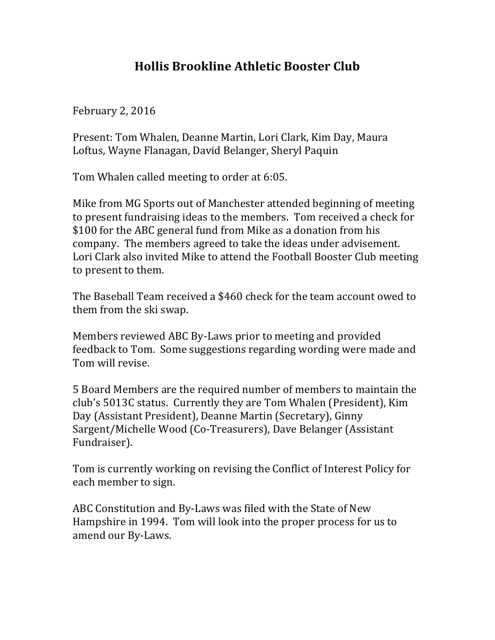## **Hollis Brookline Athletic Booster Club**

February 2, 2016

Present: Tom Whalen, Deanne Martin, Lori Clark, Kim Day, Maura Loftus, Wayne Flanagan, David Belanger, Sheryl Paquin

Tom Whalen called meeting to order at 6:05.

Mike from MG Sports out of Manchester attended beginning of meeting to present fundraising ideas to the members. Tom received a check for \$100 for the ABC general fund from Mike as a donation from his company. The members agreed to take the ideas under advisement. Lori Clark also invited Mike to attend the Football Booster Club meeting to present to them.

The Baseball Team received a \$460 check for the team account owed to them from the ski swap.

Members reviewed ABC By-Laws prior to meeting and provided feedback to Tom. Some suggestions regarding wording were made and Tom will revise.

5 Board Members are the required number of members to maintain the club's 5013C status. Currently they are Tom Whalen (President), Kim Day (Assistant President), Deanne Martin (Secretary), Ginny Sargent/Michelle Wood (Co-Treasurers), Dave Belanger (Assistant Fundraiser).

Tom is currently working on revising the Conflict of Interest Policy for each member to sign.

ABC Constitution and By-Laws was filed with the State of New Hampshire in 1994. Tom will look into the proper process for us to amend our By-Laws.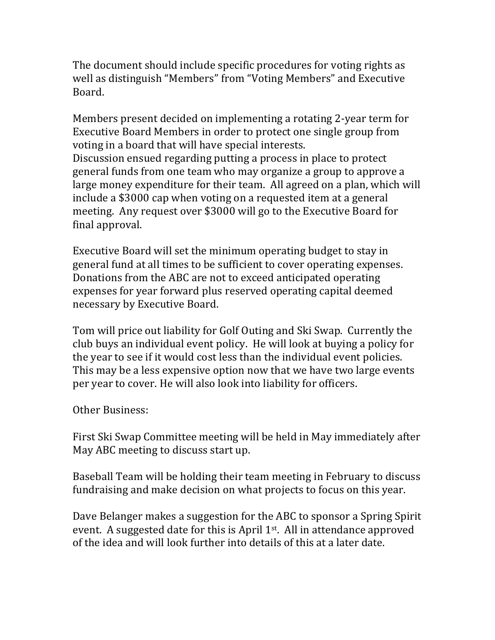The document should include specific procedures for voting rights as well as distinguish "Members" from "Voting Members" and Executive Board.

Members present decided on implementing a rotating 2-year term for Executive Board Members in order to protect one single group from voting in a board that will have special interests. Discussion ensued regarding putting a process in place to protect general funds from one team who may organize a group to approve a large money expenditure for their team. All agreed on a plan, which will include a \$3000 cap when voting on a requested item at a general meeting. Any request over \$3000 will go to the Executive Board for final approval.

Executive Board will set the minimum operating budget to stay in general fund at all times to be sufficient to cover operating expenses. Donations from the ABC are not to exceed anticipated operating expenses for year forward plus reserved operating capital deemed necessary by Executive Board.

Tom will price out liability for Golf Outing and Ski Swap. Currently the club buys an individual event policy. He will look at buying a policy for the year to see if it would cost less than the individual event policies. This may be a less expensive option now that we have two large events per year to cover. He will also look into liability for officers.

Other Business:

First Ski Swap Committee meeting will be held in May immediately after May ABC meeting to discuss start up.

Baseball Team will be holding their team meeting in February to discuss fundraising and make decision on what projects to focus on this year.

Dave Belanger makes a suggestion for the ABC to sponsor a Spring Spirit event. A suggested date for this is April  $1<sup>st</sup>$ . All in attendance approved of the idea and will look further into details of this at a later date.